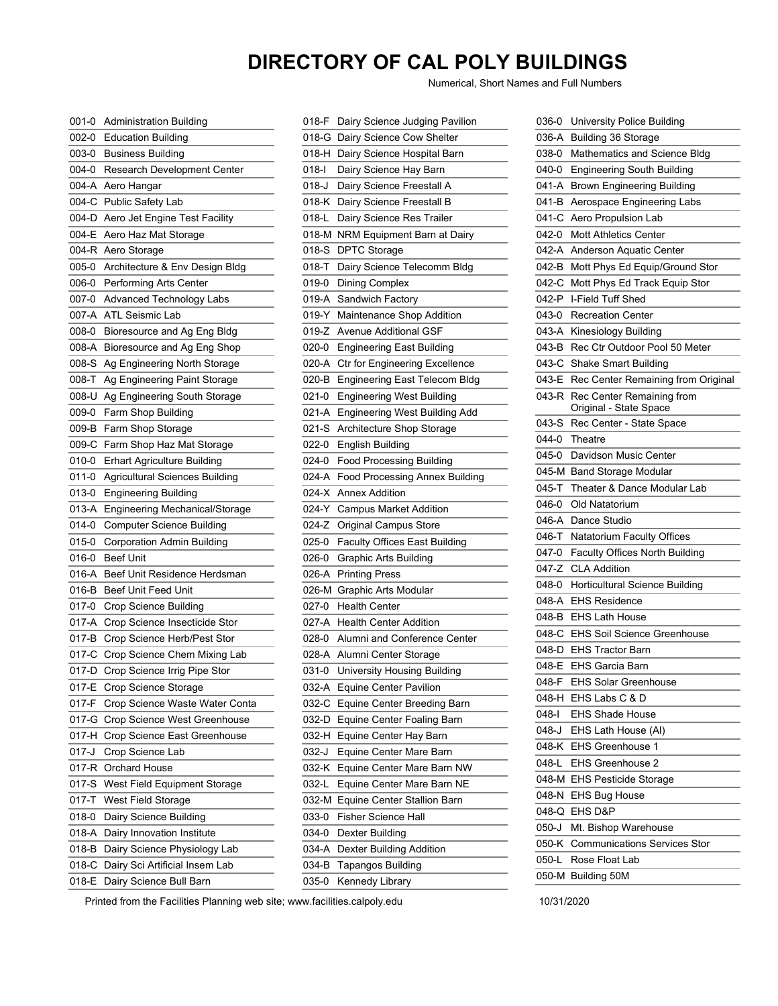## **DIRECTORY OF CAL POLY BUILDINGS**

Numerical, Short Names and Full Numbers

| 001-0   | <b>Administration Building</b>        |
|---------|---------------------------------------|
| 002-0   | <b>Education Building</b>             |
| 003-0   | <b>Business Building</b>              |
| 004-0   | Research Development Center           |
| 004-A   | Aero Hangar                           |
| 004-C   | Public Safety Lab                     |
| 004-D   | Aero Jet Engine Test Facility         |
| 004-E   | Aero Haz Mat Storage                  |
| 004-R   | Aero Storage                          |
| 005-0   | Architecture & Env Design Bldg        |
| 006-0   | <b>Performing Arts Center</b>         |
| 007-0   | <b>Advanced Technology Labs</b>       |
| 007-A   | <b>ATL Seismic Lab</b>                |
| 008-0   | Bioresource and Ag Eng Bldg           |
| 008-A   | Bioresource and Ag Eng Shop           |
| 008-S   | Ag Engineering North Storage          |
| $T-800$ | Ag Engineering Paint Storage          |
| 008-U   | Ag Engineering South Storage          |
| 009-0   | Farm Shop Building                    |
| 009-B   | Farm Shop Storage                     |
| 009-C   | Farm Shop Haz Mat Storage             |
| 010-0   | <b>Erhart Agriculture Building</b>    |
| 011-0   | <b>Agricultural Sciences Building</b> |
| 013-0   | <b>Engineering Building</b>           |
| 013-A   | <b>Engineering Mechanical/Storage</b> |
| 014-0   | <b>Computer Science Building</b>      |
| 015-0   | Corporation Admin Building            |
| 016-0   | <b>Beef Unit</b>                      |
| 016-A   | Beef Unit Residence Herdsman          |
| 016-B   | <b>Beef Unit Feed Unit</b>            |
| 017-0   | Crop Science Building                 |
| 017-A   | Crop Science Insecticide Stor         |
| 017-B   | Crop Science Herb/Pest Stor           |
| 017-C   | Crop Science Chem Mixing Lab          |
| 017-D   | Crop Science Irrig Pipe Stor          |
| 017-E   | Crop Science Storage                  |
| 017-F   | Crop Science Waste Water Conta        |
| 017-G   | Crop Science West Greenhouse          |
| 017-H   | Crop Science East Greenhouse          |
| 017-J   | Crop Science Lab                      |
| 017-R   | Orchard House                         |
| 017-S   | West Field Equipment Storage          |
| 017-T   | West Field Storage                    |
| 018-0   | Dairy Science Building                |
| 018-A   | Dairy Innovation Institute            |
| 018-B   | Dairy Science Physiology Lab          |
| 018-C   | Dairy Sci Artificial Insem Lab        |
| 018-E   | Dairy Science Bull Barn               |
|         |                                       |

| 018-F   | Dairy Science Judging Pavilion        |
|---------|---------------------------------------|
| 018-G   | Dairy Science Cow Shelter             |
| 018-H   | Dairy Science Hospital Barn           |
| 018-l   | Dairy Science Hay Barn                |
| 018-J   | Dairy Science Freestall A             |
| 018-K   | Dairy Science Freestall B             |
| 018-L   | Dairy Science Res Trailer             |
| 018-M   | NRM Equipment Barn at Dairy           |
| 018-S   | <b>DPTC Storage</b>                   |
| 018-T   | Dairy Science Telecomm Bldg           |
| 019-0   | <b>Dining Complex</b>                 |
| 019-A   | Sandwich Factory                      |
| 019-Y   | Maintenance Shop Addition             |
| 019-Z   | Avenue Additional GSF                 |
| 020-0   | <b>Engineering East Building</b>      |
| 020-A   | <b>Ctr for Engineering Excellence</b> |
| 020-B   | <b>Engineering East Telecom Bldg</b>  |
| 021-0   | <b>Engineering West Building</b>      |
| $021-A$ | <b>Engineering West Building Add</b>  |
| 021-S   | Architecture Shop Storage             |
| 022-0   | English Building                      |
| 024-0   | <b>Food Processing Building</b>       |
| 024-A   | Food Processing Annex Building        |
| 024-X   | <b>Annex Addition</b>                 |
|         | 024-Y Campus Market Addition          |
| 024-Z   | <b>Original Campus Store</b>          |
| 025-0   | <b>Faculty Offices East Building</b>  |
| 026-0   | <b>Graphic Arts Building</b>          |
| 026-A   | <b>Printing Press</b>                 |
| 026-M   | <b>Graphic Arts Modular</b>           |
| 027-0   | <b>Health Center</b>                  |
| 027-A   | <b>Health Center Addition</b>         |
| 028-0   | Alumni and Conference Center          |
|         |                                       |
|         | 028-A Alumni Center Storage           |
| 031-0   | University Housing Building           |
| 032-A   | <b>Equine Center Pavilion</b>         |
| 032-C   | Equine Center Breeding Barn           |
| 032-D   | <b>Equine Center Foaling Barn</b>     |
| 032-H   | Equine Center Hay Barn                |
| 032-J   | Equine Center Mare Barn               |
| 032-K   | Equine Center Mare Barn NW            |
| 032-L   | Equine Center Mare Barn NE            |
| 032-M   | Equine Center Stallion Barn           |
| 033-0   | Fisher Science Hall                   |
| 034-0   | Dexter Building                       |
| 034-A   | Dexter Building Addition              |
| 034-B   | Tapangos Building                     |
| 035-0   | Kennedy Library                       |

| 036-0     | University Police Building                          |
|-----------|-----------------------------------------------------|
| 036-A     | <b>Building 36 Storage</b>                          |
| 038-0     | Mathematics and Science Bldg                        |
| 040-0     | <b>Engineering South Building</b>                   |
| 041-A     | <b>Brown Engineering Building</b>                   |
| 041-B     | Aerospace Engineering Labs                          |
| 041-C     | Aero Propulsion Lab                                 |
| 042-0     | <b>Mott Athletics Center</b>                        |
| 042-A     | Anderson Aquatic Center                             |
| 042-B     | Mott Phys Ed Equip/Ground Stor                      |
| 042-C     | Mott Phys Ed Track Equip Stor                       |
| 042-P     | I-Field Tuff Shed                                   |
| 043-0     | <b>Recreation Center</b>                            |
| 043-A     | Kinesiology Building                                |
| 043-B     | Rec Ctr Outdoor Pool 50 Meter                       |
| 043-C     | Shake Smart Building                                |
| 043-E     | Rec Center Remaining from Original                  |
| 043-R     | Rec Center Remaining from<br>Original - State Space |
| 043-S     | Rec Center - State Space                            |
| 044-0     | Theatre                                             |
| 045-0     | Davidson Music Center                               |
| 045-M     | <b>Band Storage Modular</b>                         |
| 045-T     | Theater & Dance Modular Lab                         |
| 046-0     | Old Natatorium                                      |
| 046-A     | Dance Studio                                        |
| 046-T     | Natatorium Faculty Offices                          |
| 047-0     | <b>Faculty Offices North Building</b>               |
| 047-Z     | <b>CLA Addition</b>                                 |
| 048-0     | <b>Horticultural Science Building</b>               |
| 048-A     | <b>FHS Residence</b>                                |
| 048-B     | <b>EHS Lath House</b>                               |
| 048-C     | <b>EHS Soil Science Greenhouse</b>                  |
| 048-D     | <b>EHS Tractor Barn</b>                             |
| 048-E     | EHS Garcia Barn                                     |
| 048-F     | <b>EHS Solar Greenhouse</b>                         |
| 048-H     | EHS Labs C & D                                      |
| 048-l     | <b>EHS Shade House</b>                              |
| 048-J     | EHS Lath House (Al)                                 |
| 048-K     | EHS Greenhouse 1                                    |
| 048-L     | <b>EHS Greenhouse 2</b>                             |
| 048-M     | <b>EHS Pesticide Storage</b>                        |
| 048-N     | EHS Bug House                                       |
| 048-Q     | EHS D&P                                             |
| $050 - J$ | Mt. Bishop Warehouse                                |
| 050-K     | <b>Communications Services Stor</b>                 |
| 050-L     | Rose Float Lab                                      |
| 050-M     | Building 50M                                        |
|           |                                                     |

Printed from the Facilities Planning web site; www.facilities.calpoly.edu 10/31/2020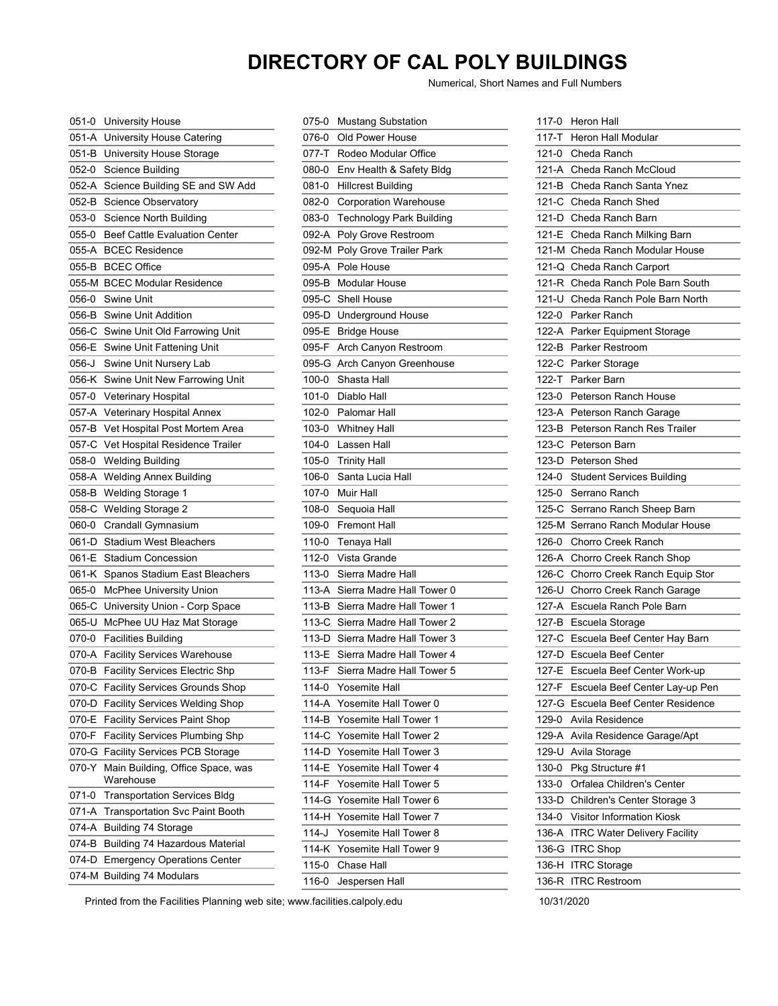## **DIRECTORY OF CAL POLY BUILDINGS**

Numerical, Short Names and Full Numbers

| 051-0     | <b>University House</b>                       |
|-----------|-----------------------------------------------|
| 051-A     | University House Catering                     |
| 051-B     | University House Storage                      |
| 052-0     | Science Building                              |
| 052-A     | Science Building SE and SW Add                |
| 052-B     | <b>Science Observatory</b>                    |
| 053-0     | Science North Building                        |
| 055-0     | Beef Cattle Evaluation Center                 |
| 055-A     | <b>BCEC Residence</b>                         |
| 055-B     | <b>BCEC Office</b>                            |
| 055-M     | <b>BCEC Modular Residence</b>                 |
| 056-0     | Swine Unit                                    |
| 056-B     | Swine Unit Addition                           |
| 056-C     | Swine Unit Old Farrowing Unit                 |
| 056-E     | Swine Unit Fattening Unit                     |
| 056-J     | Swine Unit Nursery Lab                        |
| 056-K     | Swine Unit New Farrowing Unit                 |
| 057-0     | Veterinary Hospital                           |
| 057-A     | Veterinary Hospital Annex                     |
| 057-B     | Vet Hospital Post Mortem Area                 |
| 057-C     | Vet Hospital Residence Trailer                |
| 058-0     | <b>Welding Building</b>                       |
| 058-A     | <b>Welding Annex Building</b>                 |
| 058-B     | <b>Welding Storage 1</b>                      |
| 058-C     | <b>Welding Storage 2</b>                      |
| 060-0     | Crandall Gymnasium                            |
| 061-D     | Stadium West Bleachers                        |
| 061-E     | Stadium Concession                            |
| 061-K     | Spanos Stadium East Bleachers                 |
| 065-0     | McPhee University Union                       |
| 065-C     | University Union - Corp Space                 |
| 065-U     | McPhee UU Haz Mat Storage                     |
| 070-0     | <b>Facilities Building</b>                    |
| 070-A     | <b>Facility Services Warehouse</b>            |
| 070-B     | Facility Services Electric Shp                |
| 070-C     | <b>Facility Services Grounds Shop</b>         |
| 070-D     | Facility Services Welding Shop                |
| 070-E     | <b>Facility Services Paint Shop</b>           |
| 070-F     | <b>Facility Services Plumbing Shp</b>         |
| 070-G     | <b>Facility Services PCB Storage</b>          |
| 070-Y     | Main Building, Office Space, was<br>Warehouse |
| $071 - 0$ | <b>Transportation Services Bldg</b>           |
| 071-A     | <b>Transportation Svc Paint Booth</b>         |
| 074-A     | <b>Building 74 Storage</b>                    |
| 074-B     | <b>Building 74 Hazardous Material</b>         |
| 074-D     | <b>Emergency Operations Center</b>            |
| 074-M     | <b>Building 74 Modulars</b>                   |

| 075-0     | <b>Mustang Substation</b>       |
|-----------|---------------------------------|
| 076-0     | Old Power House                 |
|           | 077-T Rodeo Modular Office      |
|           | 080-0 Env Health & Safety Bldg  |
| 081-0     | <b>Hillcrest Building</b>       |
| 082-0     | <b>Corporation Warehouse</b>    |
| 083-0     | <b>Technology Park Building</b> |
| 092-A     | Poly Grove Restroom             |
| 092-M     | Poly Grove Trailer Park         |
| 095-A     | Pole House                      |
|           | 095-B Modular House             |
|           | 095-C Shell House               |
|           | 095-D Underground House         |
| 095-E     | <b>Bridge House</b>             |
| 095-F     | Arch Canyon Restroom            |
| 095-G     | Arch Canyon Greenhouse          |
| 100-0     | Shasta Hall                     |
| $101 - 0$ | Diablo Hall                     |
| 102-0     | Palomar Hall                    |
|           | 103-0 Whitney Hall              |
| 104-0     | Lassen Hall                     |
| 105-0     | <b>Trinity Hall</b>             |
| 106-0     | Santa Lucia Hall                |
| 107-0     | Muir Hall                       |
| 108-0     | Sequoia Hall                    |
| 109-0     | <b>Fremont Hall</b>             |
| 110-0     | Tenaya Hall                     |
| 112-0     | Vista Grande                    |
| 113-0     | Sierra Madre Hall               |
| 113-A     | Sierra Madre Hall Tower 0       |
| 113-B     | Sierra Madre Hall Tower 1       |
| 113-C     | Sierra Madre Hall Tower 2       |
| 113-D     | Sierra Madre Hall Tower 3       |
| 113-E     | Sierra Madre Hall Tower 4       |
| 113-F     | Sierra Madre Hall Tower 5       |
| 114-0     | Yosemite Hall                   |
| 114-A     | Yosemite Hall Tower 0           |
| 114-B     | Yosemite Hall Tower 1           |
| 114-C     | Yosemite Hall Tower 2           |
| 114-D     | Yosemite Hall Tower 3           |
| 114-E     | Yosemite Hall Tower 4           |
| 114-F     | Yosemite Hall Tower 5           |
| $114-G$   | Yosemite Hall Tower 6           |
| 114-H     | Yosemite Hall Tower 7           |
| $114-J$   | Yosemite Hall Tower 8           |
| 114-K     | Yosemite Hall Tower 9           |
| 115-0     | Chase Hall                      |
| 116-0     | Jespersen Hall                  |

| 117-0      | <b>Heron Hall</b>                   |
|------------|-------------------------------------|
| $117-T$    | Heron Hall Modular                  |
| $121 - 0$  | Cheda Ranch                         |
| $121-A$    | Cheda Ranch McCloud                 |
| $121-B$    | Cheda Ranch Santa Ynez              |
| $121-C$    | Cheda Ranch Shed                    |
| $121-D$    | Cheda Ranch Barn                    |
| 121-E      | Cheda Ranch Milking Barn            |
| $121-M$    | Cheda Ranch Modular House           |
| $121 - Q$  | Cheda Ranch Carport                 |
| 121-R      | Cheda Ranch Pole Barn South         |
| 121-U      | Cheda Ranch Pole Barn North         |
| 122-0      | Parker Ranch                        |
| 122-A      | Parker Equipment Storage            |
| 122-B      | Parker Restroom                     |
| 122-C      | Parker Storage                      |
| $122 - T$  | Parker Barn                         |
| 123-0      | <b>Peterson Ranch House</b>         |
| $123-A$    | Peterson Ranch Garage               |
| 123-B      | Peterson Ranch Res Trailer          |
| 123-C      | Peterson Barn                       |
| 123-D      | Peterson Shed                       |
| $124 - 0$  | <b>Student Services Building</b>    |
| $125 - 0$  | Serrano Ranch                       |
| 125-C      | Serrano Ranch Sheep Barn            |
| 125-M      | Serrano Ranch Modular House         |
| 126-0      | <b>Chorro Creek Ranch</b>           |
| 126-A      | Chorro Creek Ranch Shop             |
| 126-C      | Chorro Creek Ranch Equip Stor       |
|            | 126-U Chorro Creek Ranch Garage     |
| 127-A      | Escuela Ranch Pole Barn             |
| 127-B      | Escuela Storage                     |
| 127-C      | Escuela Beef Center Hay Barn        |
| 127-D      | <b>Escuela Beef Center</b>          |
| 127-E      | Escuela Beef Center Work-up         |
| 127-F      | Escuela Beef Center Lay-up Pen      |
| 127-G      | Escuela Beef Center Residence       |
|            | Avila Residence                     |
| 129-0      |                                     |
| 129-A      | Avila Residence Garage/Apt          |
| 129-U      | Avila Storage                       |
| 130-0      | Pkg Structure #1                    |
| 133-0      | Orfalea Children's Center           |
| 133-D      | Children's Center Storage 3         |
| 134-0      | <b>Visitor Information Kiosk</b>    |
| 136-A      | <b>ITRC Water Delivery Facility</b> |
| 136-G      | <b>ITRC Shop</b>                    |
| 136-H      | <b>ITRC Storage</b>                 |
| 136-R      | ITRC Restroom                       |
| 10/31/2020 |                                     |

Printed from the Facilities Planning web site; www.facilities.calpoly.edu 10/31/2020